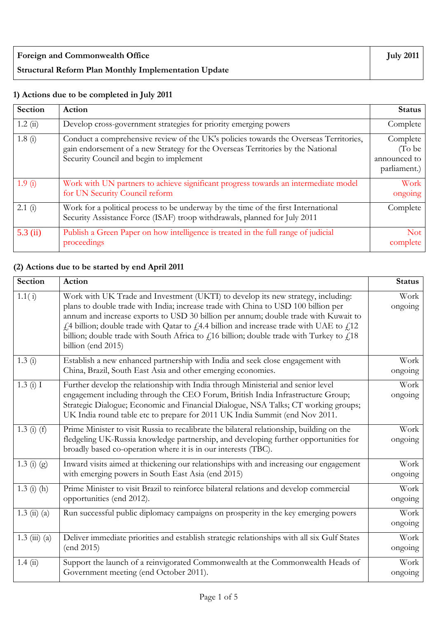| <b>Foreign and Commonwealth Office</b>                      | July 2011 $\vert$ |
|-------------------------------------------------------------|-------------------|
| <b>Structural Reform Plan Monthly Implementation Update</b> |                   |

## **1) Actions due to be completed in July 2011**

| Section    | <b>Action</b>                                                                                                                                                                                                       | <b>Status</b>                                      |
|------------|---------------------------------------------------------------------------------------------------------------------------------------------------------------------------------------------------------------------|----------------------------------------------------|
| 1.2(i)     | Develop cross-government strategies for priority emerging powers                                                                                                                                                    | Complete                                           |
| 1.8(i)     | Conduct a comprehensive review of the UK's policies towards the Overseas Territories,<br>gain endorsement of a new Strategy for the Overseas Territories by the National<br>Security Council and begin to implement | Complete<br>(To be<br>announced to<br>parliament.) |
| 1.9(i)     | Work with UN partners to achieve significant progress towards an intermediate model<br>for UN Security Council reform                                                                                               | Work<br>ongoing                                    |
| 2.1(i)     | Work for a political process to be underway by the time of the first International<br>Security Assistance Force (ISAF) troop withdrawals, planned for July 2011                                                     | Complete                                           |
| $5.3$ (ii) | Publish a Green Paper on how intelligence is treated in the full range of judicial<br>proceedings                                                                                                                   | <b>Not</b><br>complete                             |

## **(2) Actions due to be started by end April 2011**

| <b>Section</b>                     | Action                                                                                                                                                                                                                                                                                                                                                                                                                                                                         | <b>Status</b>   |
|------------------------------------|--------------------------------------------------------------------------------------------------------------------------------------------------------------------------------------------------------------------------------------------------------------------------------------------------------------------------------------------------------------------------------------------------------------------------------------------------------------------------------|-----------------|
| 1.1(i)                             | Work with UK Trade and Investment (UKTI) to develop its new strategy, including:<br>plans to double trade with India; increase trade with China to USD 100 billion per<br>annum and increase exports to USD 30 billion per annum; double trade with Kuwait to<br>£4 billion; double trade with Qatar to £4.4 billion and increase trade with UAE to £12<br>billion; double trade with South Africa to $f$ 16 billion; double trade with Turkey to $f$ 18<br>billion (end 2015) | Work<br>ongoing |
| 1.3(i)                             | Establish a new enhanced partnership with India and seek close engagement with<br>China, Brazil, South East Asia and other emerging economies.                                                                                                                                                                                                                                                                                                                                 | Work<br>ongoing |
| 1.3(i) I                           | Further develop the relationship with India through Ministerial and senior level<br>engagement including through the CEO Forum, British India Infrastructure Group;<br>Strategic Dialogue; Economic and Financial Dialogue, NSA Talks; CT working groups;<br>UK India round table etc to prepare for 2011 UK India Summit (end Nov 2011.                                                                                                                                       | Work<br>ongoing |
| $1.3(i)$ (f)                       | Prime Minister to visit Russia to recalibrate the bilateral relationship, building on the<br>fledgeling UK-Russia knowledge partnership, and developing further opportunities for<br>broadly based co-operation where it is in our interests (TBC).                                                                                                                                                                                                                            | Work<br>ongoing |
| 1.3 (i) $(g)$                      | Inward visits aimed at thickening our relationships with and increasing our engagement<br>with emerging powers in South East Asia (end 2015)                                                                                                                                                                                                                                                                                                                                   | Work<br>ongoing |
| $1.3$ (i) (h)                      | Prime Minister to visit Brazil to reinforce bilateral relations and develop commercial<br>opportunities (end 2012).                                                                                                                                                                                                                                                                                                                                                            | Work<br>ongoing |
| $1.3 \; \text{(ii)} \; \text{(a)}$ | Run successful public diplomacy campaigns on prosperity in the key emerging powers                                                                                                                                                                                                                                                                                                                                                                                             | Work<br>ongoing |
| $1.3 \ (iii) \ (a)$                | Deliver immediate priorities and establish strategic relationships with all six Gulf States<br>(end 2015)                                                                                                                                                                                                                                                                                                                                                                      | Work<br>ongoing |
| 1.4(i)                             | Support the launch of a reinvigorated Commonwealth at the Commonwealth Heads of<br>Government meeting (end October 2011).                                                                                                                                                                                                                                                                                                                                                      | Work<br>ongoing |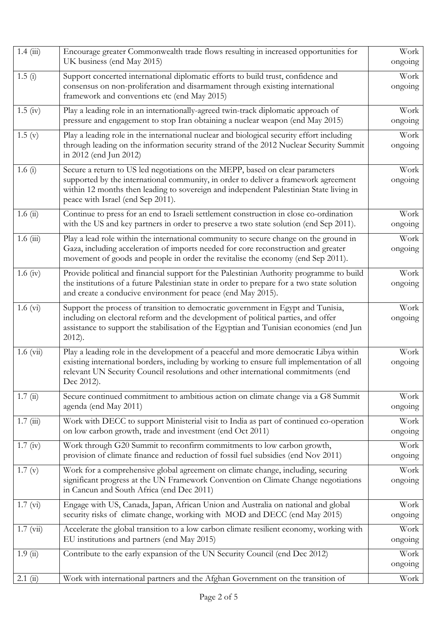| 1.4(iii)             | Encourage greater Commonwealth trade flows resulting in increased opportunities for<br>UK business (end May 2015)                                                                                                                                                                                   | Work<br>ongoing |
|----------------------|-----------------------------------------------------------------------------------------------------------------------------------------------------------------------------------------------------------------------------------------------------------------------------------------------------|-----------------|
| $\overline{1.5}$ (i) | Support concerted international diplomatic efforts to build trust, confidence and<br>consensus on non-proliferation and disarmament through existing international<br>framework and conventions etc (end May 2015)                                                                                  | Work<br>ongoing |
| $1.5$ (iv)           | Play a leading role in an internationally-agreed twin-track diplomatic approach of<br>pressure and engagement to stop Iran obtaining a nuclear weapon (end May 2015)                                                                                                                                | Work<br>ongoing |
| 1.5(y)               | Play a leading role in the international nuclear and biological security effort including<br>through leading on the information security strand of the 2012 Nuclear Security Summit<br>in 2012 (end Jun 2012)                                                                                       | Work<br>ongoing |
| 1.6 $(i)$            | Secure a return to US led negotiations on the MEPP, based on clear parameters<br>supported by the international community, in order to deliver a framework agreement<br>within 12 months then leading to sovereign and independent Palestinian State living in<br>peace with Israel (end Sep 2011). | Work<br>ongoing |
| 1.6(i)               | Continue to press for an end to Israeli settlement construction in close co-ordination<br>with the US and key partners in order to preserve a two state solution (end Sep 2011).                                                                                                                    | Work<br>ongoing |
| 1.6(iii)             | Play a lead role within the international community to secure change on the ground in<br>Gaza, including acceleration of imports needed for core reconstruction and greater<br>movement of goods and people in order the revitalise the economy (end Sep 2011).                                     | Work<br>ongoing |
| 1.6 (iv)             | Provide political and financial support for the Palestinian Authority programme to build<br>the institutions of a future Palestinian state in order to prepare for a two state solution<br>and create a conducive environment for peace (end May 2015).                                             | Work<br>ongoing |
| $1.6 \text{ (vi)}$   | Support the process of transition to democratic government in Egypt and Tunisia,<br>including on electoral reform and the development of political parties, and offer<br>assistance to support the stabilisation of the Egyptian and Tunisian economies (end Jun<br>$2012$ ).                       | Work<br>ongoing |
| $1.6 \ (vi)$         | Play a leading role in the development of a peaceful and more democratic Libya within<br>existing international borders, including by working to ensure full implementation of all<br>relevant UN Security Council resolutions and other international commitments (end<br>Dec 2012).               | Work<br>ongoing |
| 1.7(ii)              | Secure continued commitment to ambitious action on climate change via a G8 Summit<br>agenda (end May 2011)                                                                                                                                                                                          | Work<br>ongoing |
| 1.7(iii)             | Work with DECC to support Ministerial visit to India as part of continued co-operation<br>on low carbon growth, trade and investment (end Oct 2011)                                                                                                                                                 | Work<br>ongoing |
| $1.7 \text{ (iv)}$   | Work through G20 Summit to reconfirm commitments to low carbon growth,<br>provision of climate finance and reduction of fossil fuel subsidies (end Nov 2011)                                                                                                                                        | Work<br>ongoing |
| 1.7(y)               | Work for a comprehensive global agreement on climate change, including, securing<br>significant progress at the UN Framework Convention on Climate Change negotiations<br>in Cancun and South Africa (end Dec 2011)                                                                                 | Work<br>ongoing |
| 1.7 (vi)             | Engage with US, Canada, Japan, African Union and Australia on national and global<br>security risks of climate change, working with MOD and DECC (end May 2015)                                                                                                                                     | Work<br>ongoing |
| $1.7 \text{ (vii)}$  | Accelerate the global transition to a low carbon climate resilient economy, working with<br>EU institutions and partners (end May 2015)                                                                                                                                                             | Work<br>ongoing |
| 1.9(i)               | Contribute to the early expansion of the UN Security Council (end Dec 2012)                                                                                                                                                                                                                         | Work<br>ongoing |
| 2.1(i)               | Work with international partners and the Afghan Government on the transition of                                                                                                                                                                                                                     | Work            |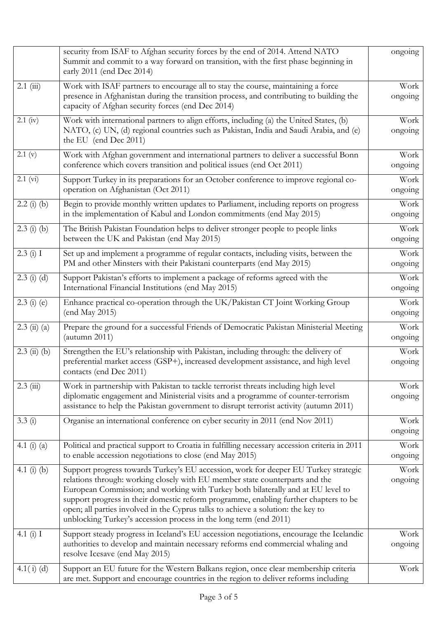|                                    | security from ISAF to Afghan security forces by the end of 2014. Attend NATO<br>Summit and commit to a way forward on transition, with the first phase beginning in<br>early 2011 (end Dec 2014)                                                                                                                                                                                                                                                                                                         | ongoing         |
|------------------------------------|----------------------------------------------------------------------------------------------------------------------------------------------------------------------------------------------------------------------------------------------------------------------------------------------------------------------------------------------------------------------------------------------------------------------------------------------------------------------------------------------------------|-----------------|
| $2.1$ (iii)                        | Work with ISAF partners to encourage all to stay the course, maintaining a force<br>presence in Afghanistan during the transition process, and contributing to building the<br>capacity of Afghan security forces (end Dec 2014)                                                                                                                                                                                                                                                                         | Work<br>ongoing |
| $2.1$ (iv)                         | Work with international partners to align efforts, including (a) the United States, (b)<br>NATO, (c) UN, (d) regional countries such as Pakistan, India and Saudi Arabia, and (e)<br>the EU (end Dec 2011)                                                                                                                                                                                                                                                                                               | Work<br>ongoing |
| 2.1 (v)                            | Work with Afghan government and international partners to deliver a successful Bonn<br>conference which covers transition and political issues (end Oct 2011)                                                                                                                                                                                                                                                                                                                                            | Work<br>ongoing |
| 2.1 (vi)                           | Support Turkey in its preparations for an October conference to improve regional co-<br>operation on Afghanistan (Oct 2011)                                                                                                                                                                                                                                                                                                                                                                              | Work<br>ongoing |
| $2.2(j)$ (b)                       | Begin to provide monthly written updates to Parliament, including reports on progress<br>in the implementation of Kabul and London commitments (end May 2015)                                                                                                                                                                                                                                                                                                                                            | Work<br>ongoing |
| $2.3$ (i) (b)                      | The British Pakistan Foundation helps to deliver stronger people to people links<br>between the UK and Pakistan (end May 2015)                                                                                                                                                                                                                                                                                                                                                                           | Work<br>ongoing |
| 2.3(i) I                           | Set up and implement a programme of regular contacts, including visits, between the<br>PM and other Minsters with their Pakistani counterparts (end May 2015)                                                                                                                                                                                                                                                                                                                                            | Work<br>ongoing |
| $2.3$ (i) (d)                      | Support Pakistan's efforts to implement a package of reforms agreed with the<br>International Financial Institutions (end May 2015)                                                                                                                                                                                                                                                                                                                                                                      | Work<br>ongoing |
| $2.3$ (i) (e)                      | Enhance practical co-operation through the UK/Pakistan CT Joint Working Group<br>(end May 2015)                                                                                                                                                                                                                                                                                                                                                                                                          |                 |
| $2.3 \; \text{(ii)} \; \text{(a)}$ | Prepare the ground for a successful Friends of Democratic Pakistan Ministerial Meeting<br>$($ autumn 2011)                                                                                                                                                                                                                                                                                                                                                                                               | Work<br>ongoing |
| $2.3$ (ii) (b)                     | Strengthen the EU's relationship with Pakistan, including through: the delivery of<br>preferential market access (GSP+), increased development assistance, and high level<br>contacts (end Dec 2011)                                                                                                                                                                                                                                                                                                     | Work<br>ongoing |
| $2.3$ (iii)                        | Work in partnership with Pakistan to tackle terrorist threats including high level<br>diplomatic engagement and Ministerial visits and a programme of counter-terrorism<br>assistance to help the Pakistan government to disrupt terrorist activity (autumn 2011)                                                                                                                                                                                                                                        | Work<br>ongoing |
| 3.3(i)                             | Organise an international conference on cyber security in 2011 (end Nov 2011)                                                                                                                                                                                                                                                                                                                                                                                                                            | Work<br>ongoing |
| 4.1 (i) (a)                        | Political and practical support to Croatia in fulfilling necessary accession criteria in 2011<br>to enable accession negotiations to close (end May 2015)                                                                                                                                                                                                                                                                                                                                                | Work<br>ongoing |
| 4.1 $(i)$ $(b)$                    | Support progress towards Turkey's EU accession, work for deeper EU Turkey strategic<br>relations through: working closely with EU member state counterparts and the<br>European Commission; and working with Turkey both bilaterally and at EU level to<br>support progress in their domestic reform programme, enabling further chapters to be<br>open; all parties involved in the Cyprus talks to achieve a solution: the key to<br>unblocking Turkey's accession process in the long term (end 2011) | Work<br>ongoing |
| 4.1 $(i)$ I                        | Support steady progress in Iceland's EU accession negotiations, encourage the Icelandic<br>authorities to develop and maintain necessary reforms end commercial whaling and<br>resolve Icesave (end May 2015)                                                                                                                                                                                                                                                                                            | Work<br>ongoing |
| $4.1(i)$ (d)                       | Support an EU future for the Western Balkans region, once clear membership criteria<br>are met. Support and encourage countries in the region to deliver reforms including                                                                                                                                                                                                                                                                                                                               | Work            |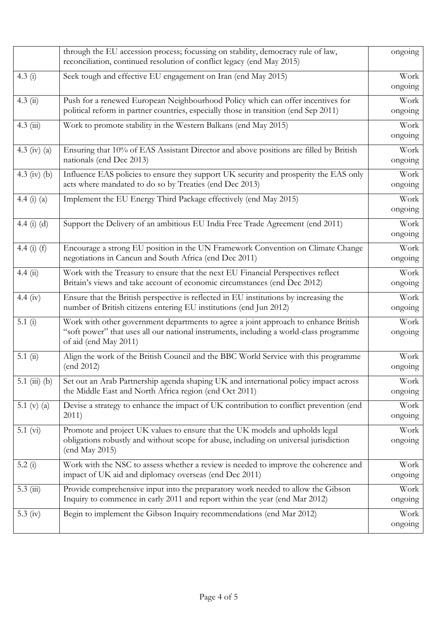|                    | through the EU accession process; focussing on stability, democracy rule of law,<br>reconciliation, continued resolution of conflict legacy (end May 2015)                                             | ongoing         |
|--------------------|--------------------------------------------------------------------------------------------------------------------------------------------------------------------------------------------------------|-----------------|
| 4.3(i)             | Seek tough and effective EU engagement on Iran (end May 2015)                                                                                                                                          | Work<br>ongoing |
| 4.3(i)             | Push for a renewed European Neighbourhood Policy which can offer incentives for<br>political reform in partner countries, especially those in transition (end Sep 2011)                                | Work<br>ongoing |
| $4.3$ (iii)        | Work to promote stability in the Western Balkans (end May 2015)                                                                                                                                        | Work<br>ongoing |
| 4.3 (iv) (a)       | Ensuring that 10% of EAS Assistant Director and above positions are filled by British<br>nationals (end Dec 2013)                                                                                      | Work<br>ongoing |
| 4.3 (iv) (b)       | Influence EAS policies to ensure they support UK security and prosperity the EAS only<br>acts where mandated to do so by Treaties (end Dec 2013)                                                       | Work<br>ongoing |
| 4.4 $(i)$ $(a)$    | Implement the EU Energy Third Package effectively (end May 2015)                                                                                                                                       | Work<br>ongoing |
| 4.4 $(i)$ $(d)$    | Support the Delivery of an ambitious EU India Free Trade Agreement (end 2011)                                                                                                                          | Work<br>ongoing |
| 4.4 $(i)$ $(f)$    | Encourage a strong EU position in the UN Framework Convention on Climate Change<br>negotiations in Cancun and South Africa (end Dec 2011)                                                              | Work<br>ongoing |
| 4.4(ii)            | Work with the Treasury to ensure that the next EU Financial Perspectives reflect<br>Britain's views and take account of economic circumstances (end Dec 2012)                                          | Work<br>ongoing |
| 4.4 (iv)           | Ensure that the British perspective is reflected in EU institutions by increasing the<br>number of British citizens entering EU institutions (end Jun 2012)                                            | Work<br>ongoing |
| 5.1 $(i)$          | Work with other government departments to agree a joint approach to enhance British<br>"soft power" that uses all our national instruments, including a world-class programme<br>of aid (end May 2011) | Work<br>ongoing |
| 5.1(i)             | Align the work of the British Council and the BBC World Service with this programme<br>(end 2012)                                                                                                      | Work<br>ongoing |
| $5.1$ (iii) (b)    | Set out an Arab Partnership agenda shaping UK and international policy impact across<br>the Middle East and North Africa region (end Oct 2011)                                                         | Work<br>ongoing |
| 5.1 (v) $(a)$      | Devise a strategy to enhance the impact of UK contribution to conflict prevention (end<br>2011)                                                                                                        | Work<br>ongoing |
| $5.1 \text{ (vi)}$ | Promote and project UK values to ensure that the UK models and upholds legal<br>obligations robustly and without scope for abuse, including on universal jurisdiction<br>(end May 2015)                | Work<br>ongoing |
| 5.2(i)             | Work with the NSC to assess whether a review is needed to improve the coherence and<br>impact of UK aid and diplomacy overseas (end Dec 2011)                                                          | Work<br>ongoing |
| $5.3$ (iii)        | Provide comprehensive input into the preparatory work needed to allow the Gibson<br>Inquiry to commence in early 2011 and report within the year (end Mar 2012)                                        | Work<br>ongoing |
| 5.3 $(iv)$         | Begin to implement the Gibson Inquiry recommendations (end Mar 2012)                                                                                                                                   | Work<br>ongoing |